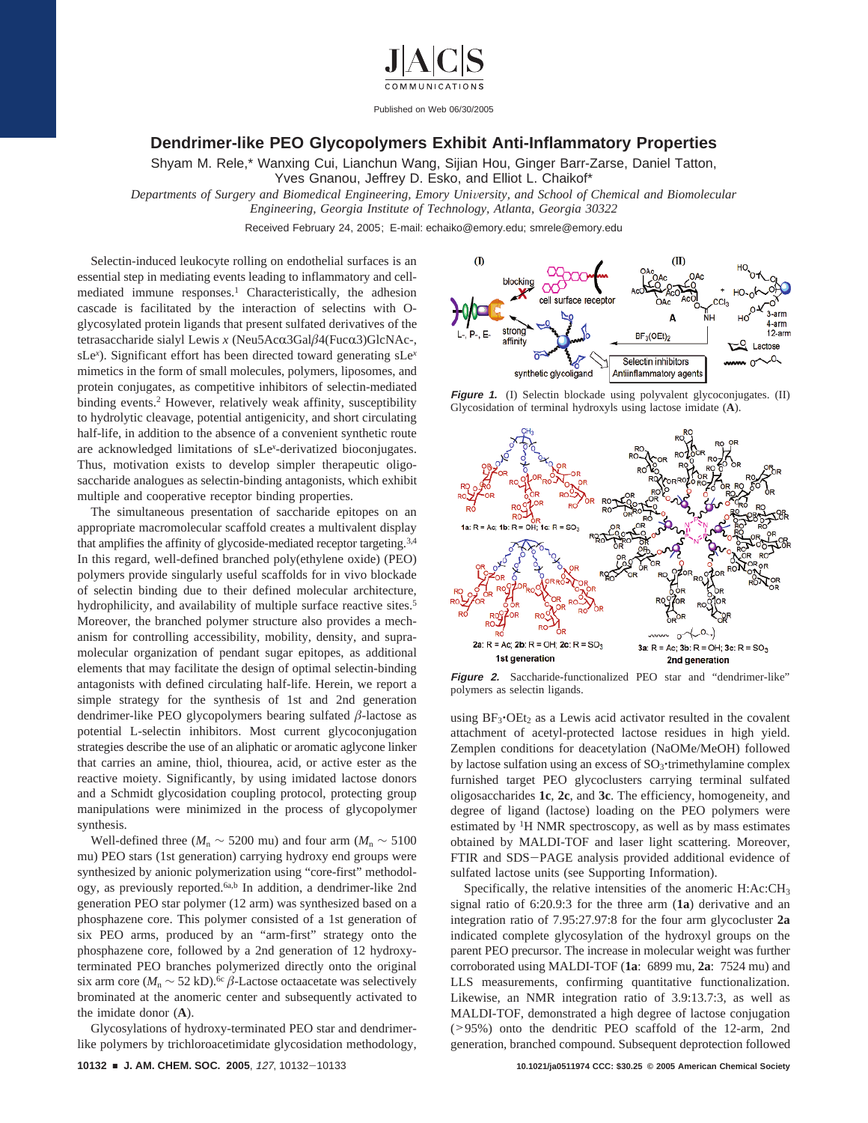

Published on Web 06/30/2005

## **Dendrimer-like PEO Glycopolymers Exhibit Anti-Inflammatory Properties**

Shyam M. Rele,\* Wanxing Cui, Lianchun Wang, Sijian Hou, Ginger Barr-Zarse, Daniel Tatton, Yves Gnanou, Jeffrey D. Esko, and Elliot L. Chaikof\*

*Departments of Surgery and Biomedical Engineering, Emory University, and School of Chemical and Biomolecular* 

*Engineering, Georgia Institute of Technology, Atlanta, Georgia 30322*

Received February 24, 2005; E-mail: echaiko@emory.edu; smrele@emory.edu

Selectin-induced leukocyte rolling on endothelial surfaces is an essential step in mediating events leading to inflammatory and cellmediated immune responses.<sup>1</sup> Characteristically, the adhesion cascade is facilitated by the interaction of selectins with Oglycosylated protein ligands that present sulfated derivatives of the tetrasaccharide sialyl Lewis *x* (Neu5Acα3Galβ4(Fucα3)GlcNAc-, sLe*<sup>x</sup>* ). Significant effort has been directed toward generating sLe*<sup>x</sup>* mimetics in the form of small molecules, polymers, liposomes, and protein conjugates, as competitive inhibitors of selectin-mediated binding events.<sup>2</sup> However, relatively weak affinity, susceptibility to hydrolytic cleavage, potential antigenicity, and short circulating half-life, in addition to the absence of a convenient synthetic route are acknowledged limitations of sLe*<sup>x</sup>* -derivatized bioconjugates. Thus, motivation exists to develop simpler therapeutic oligosaccharide analogues as selectin-binding antagonists, which exhibit multiple and cooperative receptor binding properties.

The simultaneous presentation of saccharide epitopes on an appropriate macromolecular scaffold creates a multivalent display that amplifies the affinity of glycoside-mediated receptor targeting.3,4 In this regard, well-defined branched poly(ethylene oxide) (PEO) polymers provide singularly useful scaffolds for in vivo blockade of selectin binding due to their defined molecular architecture, hydrophilicity, and availability of multiple surface reactive sites.<sup>5</sup> Moreover, the branched polymer structure also provides a mechanism for controlling accessibility, mobility, density, and supramolecular organization of pendant sugar epitopes, as additional elements that may facilitate the design of optimal selectin-binding antagonists with defined circulating half-life. Herein, we report a simple strategy for the synthesis of 1st and 2nd generation dendrimer-like PEO glycopolymers bearing sulfated *â*-lactose as potential L-selectin inhibitors. Most current glycoconjugation strategies describe the use of an aliphatic or aromatic aglycone linker that carries an amine, thiol, thiourea, acid, or active ester as the reactive moiety. Significantly, by using imidated lactose donors and a Schmidt glycosidation coupling protocol, protecting group manipulations were minimized in the process of glycopolymer synthesis.

Well-defined three ( $M_n$  ∼ 5200 mu) and four arm ( $M_n$  ∼ 5100 mu) PEO stars (1st generation) carrying hydroxy end groups were synthesized by anionic polymerization using "core-first" methodology, as previously reported.<sup>6a,b</sup> In addition, a dendrimer-like 2nd generation PEO star polymer (12 arm) was synthesized based on a phosphazene core. This polymer consisted of a 1st generation of six PEO arms, produced by an "arm-first" strategy onto the phosphazene core, followed by a 2nd generation of 12 hydroxyterminated PEO branches polymerized directly onto the original six arm core ( $M_n$  ∼ 52 kD).<sup>6c</sup>  $\beta$ -Lactose octaacetate was selectively brominated at the anomeric center and subsequently activated to the imidate donor (**A**).

Glycosylations of hydroxy-terminated PEO star and dendrimerlike polymers by trichloroacetimidate glycosidation methodology,



**Figure 1.** (I) Selectin blockade using polyvalent glycoconjugates. (II) Glycosidation of terminal hydroxyls using lactose imidate (**A**).



**Figure 2.** Saccharide-functionalized PEO star and "dendrimer-like" polymers as selectin ligands.

using  $BF_3$ <sup>OEt<sub>2</sub> as a Lewis acid activator resulted in the covalent</sup> attachment of acetyl-protected lactose residues in high yield. Zemplen conditions for deacetylation (NaOMe/MeOH) followed by lactose sulfation using an excess of  $SO_3$ <sup>-</sup>trimethylamine complex furnished target PEO glycoclusters carrying terminal sulfated oligosaccharides **1c**, **2c**, and **3c**. The efficiency, homogeneity, and degree of ligand (lactose) loading on the PEO polymers were estimated by 1H NMR spectroscopy, as well as by mass estimates obtained by MALDI-TOF and laser light scattering. Moreover, FTIR and SDS-PAGE analysis provided additional evidence of sulfated lactose units (see Supporting Information).

Specifically, the relative intensities of the anomeric H:Ac:CH<sub>3</sub> signal ratio of 6:20.9:3 for the three arm (**1a**) derivative and an integration ratio of 7.95:27.97:8 for the four arm glycocluster **2a** indicated complete glycosylation of the hydroxyl groups on the parent PEO precursor. The increase in molecular weight was further corroborated using MALDI-TOF (**1a**: 6899 mu, **2a**: 7524 mu) and LLS measurements, confirming quantitative functionalization. Likewise, an NMR integration ratio of 3.9:13.7:3, as well as MALDI-TOF, demonstrated a high degree of lactose conjugation (>95%) onto the dendritic PEO scaffold of the 12-arm, 2nd generation, branched compound. Subsequent deprotection followed